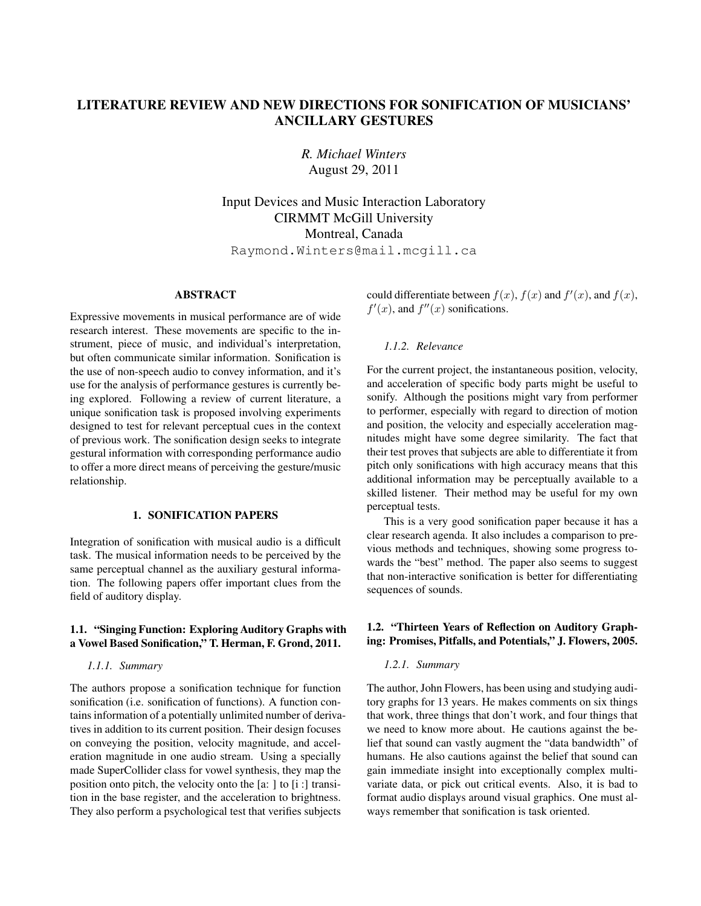# LITERATURE REVIEW AND NEW DIRECTIONS FOR SONIFICATION OF MUSICIANS' ANCILLARY GESTURES

*R. Michael Winters* August 29, 2011

Input Devices and Music Interaction Laboratory CIRMMT McGill University Montreal, Canada

Raymond.Winters@mail.mcgill.ca

# ABSTRACT

Expressive movements in musical performance are of wide research interest. These movements are specific to the instrument, piece of music, and individual's interpretation, but often communicate similar information. Sonification is the use of non-speech audio to convey information, and it's use for the analysis of performance gestures is currently being explored. Following a review of current literature, a unique sonification task is proposed involving experiments designed to test for relevant perceptual cues in the context of previous work. The sonification design seeks to integrate gestural information with corresponding performance audio to offer a more direct means of perceiving the gesture/music relationship.

## 1. SONIFICATION PAPERS

Integration of sonification with musical audio is a difficult task. The musical information needs to be perceived by the same perceptual channel as the auxiliary gestural information. The following papers offer important clues from the field of auditory display.

# 1.1. "Singing Function: Exploring Auditory Graphs with a Vowel Based Sonification," T. Herman, F. Grond, 2011.

*1.1.1. Summary*

The authors propose a sonification technique for function sonification (i.e. sonification of functions). A function contains information of a potentially unlimited number of derivatives in addition to its current position. Their design focuses on conveying the position, velocity magnitude, and acceleration magnitude in one audio stream. Using a specially made SuperCollider class for vowel synthesis, they map the position onto pitch, the velocity onto the [a: ] to [i :] transition in the base register, and the acceleration to brightness. They also perform a psychological test that verifies subjects

could differentiate between  $f(x)$ ,  $f(x)$  and  $f'(x)$ , and  $f(x)$ ,  $f'(x)$ , and  $f''(x)$  sonifications.

# *1.1.2. Relevance*

For the current project, the instantaneous position, velocity, and acceleration of specific body parts might be useful to sonify. Although the positions might vary from performer to performer, especially with regard to direction of motion and position, the velocity and especially acceleration magnitudes might have some degree similarity. The fact that their test proves that subjects are able to differentiate it from pitch only sonifications with high accuracy means that this additional information may be perceptually available to a skilled listener. Their method may be useful for my own perceptual tests.

This is a very good sonification paper because it has a clear research agenda. It also includes a comparison to previous methods and techniques, showing some progress towards the "best" method. The paper also seems to suggest that non-interactive sonification is better for differentiating sequences of sounds.

# 1.2. "Thirteen Years of Reflection on Auditory Graphing: Promises, Pitfalls, and Potentials," J. Flowers, 2005.

### *1.2.1. Summary*

The author, John Flowers, has been using and studying auditory graphs for 13 years. He makes comments on six things that work, three things that don't work, and four things that we need to know more about. He cautions against the belief that sound can vastly augment the "data bandwidth" of humans. He also cautions against the belief that sound can gain immediate insight into exceptionally complex multivariate data, or pick out critical events. Also, it is bad to format audio displays around visual graphics. One must always remember that sonification is task oriented.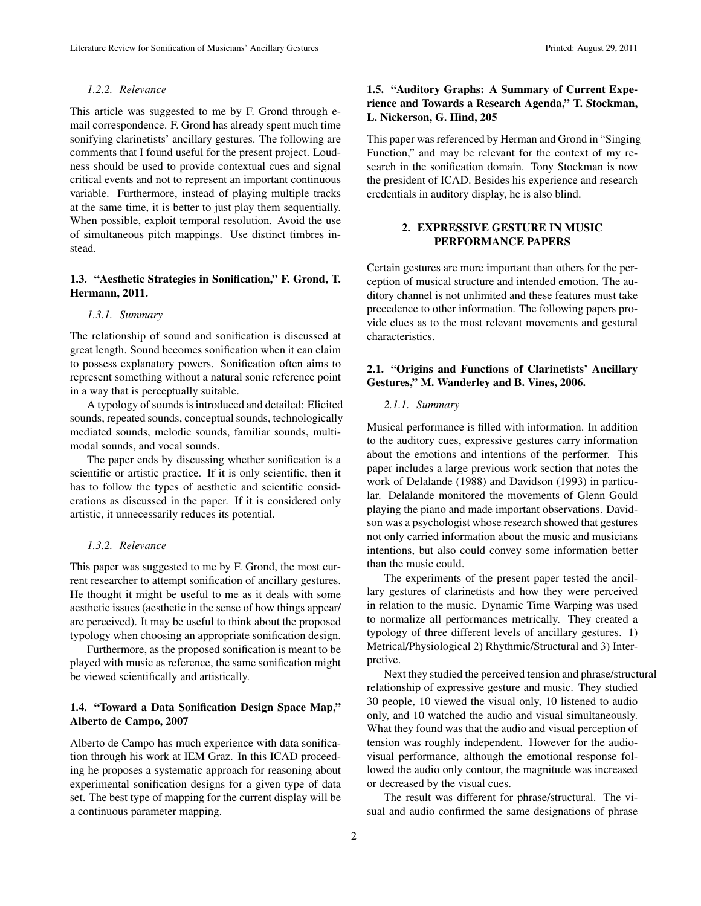### *1.2.2. Relevance*

This article was suggested to me by F. Grond through email correspondence. F. Grond has already spent much time sonifying clarinetists' ancillary gestures. The following are comments that I found useful for the present project. Loudness should be used to provide contextual cues and signal critical events and not to represent an important continuous variable. Furthermore, instead of playing multiple tracks at the same time, it is better to just play them sequentially. When possible, exploit temporal resolution. Avoid the use of simultaneous pitch mappings. Use distinct timbres instead.

# 1.3. "Aesthetic Strategies in Sonification," F. Grond, T. Hermann, 2011.

### *1.3.1. Summary*

The relationship of sound and sonification is discussed at great length. Sound becomes sonification when it can claim to possess explanatory powers. Sonification often aims to represent something without a natural sonic reference point in a way that is perceptually suitable.

A typology of sounds is introduced and detailed: Elicited sounds, repeated sounds, conceptual sounds, technologically mediated sounds, melodic sounds, familiar sounds, multimodal sounds, and vocal sounds.

The paper ends by discussing whether sonification is a scientific or artistic practice. If it is only scientific, then it has to follow the types of aesthetic and scientific considerations as discussed in the paper. If it is considered only artistic, it unnecessarily reduces its potential.

### *1.3.2. Relevance*

This paper was suggested to me by F. Grond, the most current researcher to attempt sonification of ancillary gestures. He thought it might be useful to me as it deals with some aesthetic issues (aesthetic in the sense of how things appear/ are perceived). It may be useful to think about the proposed typology when choosing an appropriate sonification design.

Furthermore, as the proposed sonification is meant to be played with music as reference, the same sonification might be viewed scientifically and artistically.

## 1.4. "Toward a Data Sonification Design Space Map," Alberto de Campo, 2007

Alberto de Campo has much experience with data sonification through his work at IEM Graz. In this ICAD proceeding he proposes a systematic approach for reasoning about experimental sonification designs for a given type of data set. The best type of mapping for the current display will be a continuous parameter mapping.

# 1.5. "Auditory Graphs: A Summary of Current Experience and Towards a Research Agenda," T. Stockman, L. Nickerson, G. Hind, 205

This paper was referenced by Herman and Grond in "Singing Function," and may be relevant for the context of my research in the sonification domain. Tony Stockman is now the president of ICAD. Besides his experience and research credentials in auditory display, he is also blind.

# 2. EXPRESSIVE GESTURE IN MUSIC PERFORMANCE PAPERS

Certain gestures are more important than others for the perception of musical structure and intended emotion. The auditory channel is not unlimited and these features must take precedence to other information. The following papers provide clues as to the most relevant movements and gestural characteristics.

## 2.1. "Origins and Functions of Clarinetists' Ancillary Gestures," M. Wanderley and B. Vines, 2006.

### *2.1.1. Summary*

Musical performance is filled with information. In addition to the auditory cues, expressive gestures carry information about the emotions and intentions of the performer. This paper includes a large previous work section that notes the work of Delalande (1988) and Davidson (1993) in particular. Delalande monitored the movements of Glenn Gould playing the piano and made important observations. Davidson was a psychologist whose research showed that gestures not only carried information about the music and musicians intentions, but also could convey some information better than the music could.

The experiments of the present paper tested the ancillary gestures of clarinetists and how they were perceived in relation to the music. Dynamic Time Warping was used to normalize all performances metrically. They created a typology of three different levels of ancillary gestures. 1) Metrical/Physiological 2) Rhythmic/Structural and 3) Interpretive.

Next they studied the perceived tension and phrase/structural relationship of expressive gesture and music. They studied 30 people, 10 viewed the visual only, 10 listened to audio only, and 10 watched the audio and visual simultaneously. What they found was that the audio and visual perception of tension was roughly independent. However for the audiovisual performance, although the emotional response followed the audio only contour, the magnitude was increased or decreased by the visual cues.

The result was different for phrase/structural. The visual and audio confirmed the same designations of phrase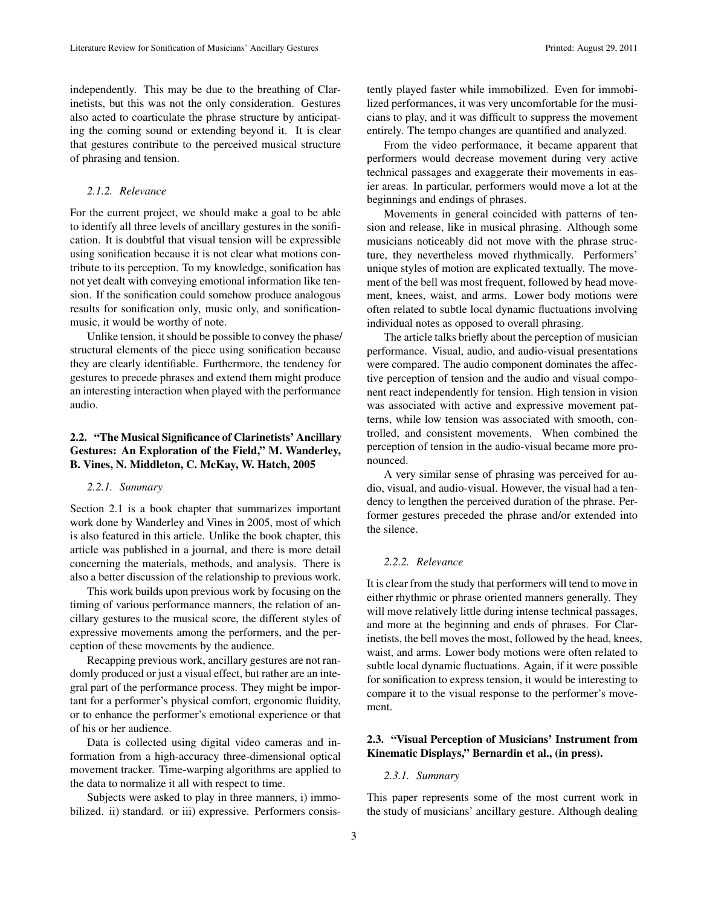independently. This may be due to the breathing of Clarinetists, but this was not the only consideration. Gestures also acted to coarticulate the phrase structure by anticipating the coming sound or extending beyond it. It is clear that gestures contribute to the perceived musical structure of phrasing and tension.

### *2.1.2. Relevance*

For the current project, we should make a goal to be able to identify all three levels of ancillary gestures in the sonification. It is doubtful that visual tension will be expressible using sonification because it is not clear what motions contribute to its perception. To my knowledge, sonification has not yet dealt with conveying emotional information like tension. If the sonification could somehow produce analogous results for sonification only, music only, and sonificationmusic, it would be worthy of note.

Unlike tension, it should be possible to convey the phase/ structural elements of the piece using sonification because they are clearly identifiable. Furthermore, the tendency for gestures to precede phrases and extend them might produce an interesting interaction when played with the performance audio.

# 2.2. "The Musical Significance of Clarinetists' Ancillary Gestures: An Exploration of the Field," M. Wanderley, B. Vines, N. Middleton, C. McKay, W. Hatch, 2005

#### *2.2.1. Summary*

Section 2.1 is a book chapter that summarizes important work done by Wanderley and Vines in 2005, most of which is also featured in this article. Unlike the book chapter, this article was published in a journal, and there is more detail concerning the materials, methods, and analysis. There is also a better discussion of the relationship to previous work.

This work builds upon previous work by focusing on the timing of various performance manners, the relation of ancillary gestures to the musical score, the different styles of expressive movements among the performers, and the perception of these movements by the audience.

Recapping previous work, ancillary gestures are not randomly produced or just a visual effect, but rather are an integral part of the performance process. They might be important for a performer's physical comfort, ergonomic fluidity, or to enhance the performer's emotional experience or that of his or her audience.

Data is collected using digital video cameras and information from a high-accuracy three-dimensional optical movement tracker. Time-warping algorithms are applied to the data to normalize it all with respect to time.

Subjects were asked to play in three manners, i) immobilized. ii) standard. or iii) expressive. Performers consistently played faster while immobilized. Even for immobilized performances, it was very uncomfortable for the musicians to play, and it was difficult to suppress the movement entirely. The tempo changes are quantified and analyzed.

From the video performance, it became apparent that performers would decrease movement during very active technical passages and exaggerate their movements in easier areas. In particular, performers would move a lot at the beginnings and endings of phrases.

Movements in general coincided with patterns of tension and release, like in musical phrasing. Although some musicians noticeably did not move with the phrase structure, they nevertheless moved rhythmically. Performers' unique styles of motion are explicated textually. The movement of the bell was most frequent, followed by head movement, knees, waist, and arms. Lower body motions were often related to subtle local dynamic fluctuations involving individual notes as opposed to overall phrasing.

The article talks briefly about the perception of musician performance. Visual, audio, and audio-visual presentations were compared. The audio component dominates the affective perception of tension and the audio and visual component react independently for tension. High tension in vision was associated with active and expressive movement patterns, while low tension was associated with smooth, controlled, and consistent movements. When combined the perception of tension in the audio-visual became more pronounced.

A very similar sense of phrasing was perceived for audio, visual, and audio-visual. However, the visual had a tendency to lengthen the perceived duration of the phrase. Performer gestures preceded the phrase and/or extended into the silence.

#### *2.2.2. Relevance*

It is clear from the study that performers will tend to move in either rhythmic or phrase oriented manners generally. They will move relatively little during intense technical passages, and more at the beginning and ends of phrases. For Clarinetists, the bell moves the most, followed by the head, knees, waist, and arms. Lower body motions were often related to subtle local dynamic fluctuations. Again, if it were possible for sonification to express tension, it would be interesting to compare it to the visual response to the performer's movement.

## 2.3. "Visual Perception of Musicians' Instrument from Kinematic Displays," Bernardin et al., (in press).

#### *2.3.1. Summary*

This paper represents some of the most current work in the study of musicians' ancillary gesture. Although dealing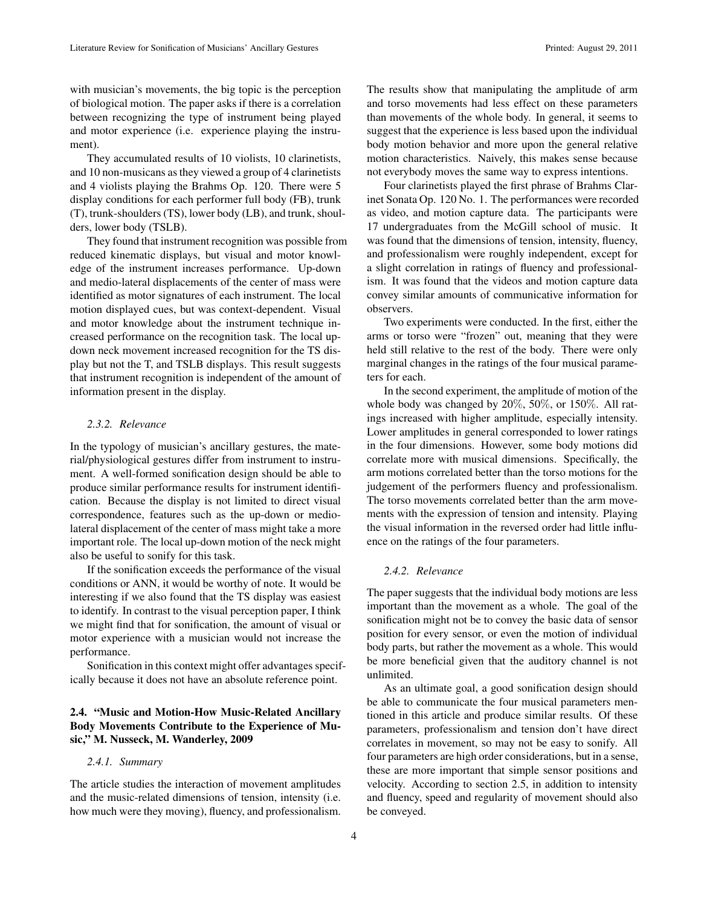with musician's movements, the big topic is the perception of biological motion. The paper asks if there is a correlation between recognizing the type of instrument being played and motor experience (i.e. experience playing the instrument).

They accumulated results of 10 violists, 10 clarinetists, and 10 non-musicans as they viewed a group of 4 clarinetists and 4 violists playing the Brahms Op. 120. There were 5 display conditions for each performer full body (FB), trunk (T), trunk-shoulders (TS), lower body (LB), and trunk, shoulders, lower body (TSLB).

They found that instrument recognition was possible from reduced kinematic displays, but visual and motor knowledge of the instrument increases performance. Up-down and medio-lateral displacements of the center of mass were identified as motor signatures of each instrument. The local motion displayed cues, but was context-dependent. Visual and motor knowledge about the instrument technique increased performance on the recognition task. The local updown neck movement increased recognition for the TS display but not the T, and TSLB displays. This result suggests that instrument recognition is independent of the amount of information present in the display.

### *2.3.2. Relevance*

In the typology of musician's ancillary gestures, the material/physiological gestures differ from instrument to instrument. A well-formed sonification design should be able to produce similar performance results for instrument identification. Because the display is not limited to direct visual correspondence, features such as the up-down or mediolateral displacement of the center of mass might take a more important role. The local up-down motion of the neck might also be useful to sonify for this task.

If the sonification exceeds the performance of the visual conditions or ANN, it would be worthy of note. It would be interesting if we also found that the TS display was easiest to identify. In contrast to the visual perception paper, I think we might find that for sonification, the amount of visual or motor experience with a musician would not increase the performance.

Sonification in this context might offer advantages specifically because it does not have an absolute reference point.

# 2.4. "Music and Motion-How Music-Related Ancillary Body Movements Contribute to the Experience of Music," M. Nusseck, M. Wanderley, 2009

#### *2.4.1. Summary*

The article studies the interaction of movement amplitudes and the music-related dimensions of tension, intensity (i.e. how much were they moving), fluency, and professionalism.

The results show that manipulating the amplitude of arm and torso movements had less effect on these parameters than movements of the whole body. In general, it seems to suggest that the experience is less based upon the individual body motion behavior and more upon the general relative motion characteristics. Naively, this makes sense because not everybody moves the same way to express intentions.

Four clarinetists played the first phrase of Brahms Clarinet Sonata Op. 120 No. 1. The performances were recorded as video, and motion capture data. The participants were 17 undergraduates from the McGill school of music. It was found that the dimensions of tension, intensity, fluency, and professionalism were roughly independent, except for a slight correlation in ratings of fluency and professionalism. It was found that the videos and motion capture data convey similar amounts of communicative information for observers.

Two experiments were conducted. In the first, either the arms or torso were "frozen" out, meaning that they were held still relative to the rest of the body. There were only marginal changes in the ratings of the four musical parameters for each.

In the second experiment, the amplitude of motion of the whole body was changed by 20%, 50%, or 150%. All ratings increased with higher amplitude, especially intensity. Lower amplitudes in general corresponded to lower ratings in the four dimensions. However, some body motions did correlate more with musical dimensions. Specifically, the arm motions correlated better than the torso motions for the judgement of the performers fluency and professionalism. The torso movements correlated better than the arm movements with the expression of tension and intensity. Playing the visual information in the reversed order had little influence on the ratings of the four parameters.

### *2.4.2. Relevance*

The paper suggests that the individual body motions are less important than the movement as a whole. The goal of the sonification might not be to convey the basic data of sensor position for every sensor, or even the motion of individual body parts, but rather the movement as a whole. This would be more beneficial given that the auditory channel is not unlimited.

As an ultimate goal, a good sonification design should be able to communicate the four musical parameters mentioned in this article and produce similar results. Of these parameters, professionalism and tension don't have direct correlates in movement, so may not be easy to sonify. All four parameters are high order considerations, but in a sense, these are more important that simple sensor positions and velocity. According to section 2.5, in addition to intensity and fluency, speed and regularity of movement should also be conveyed.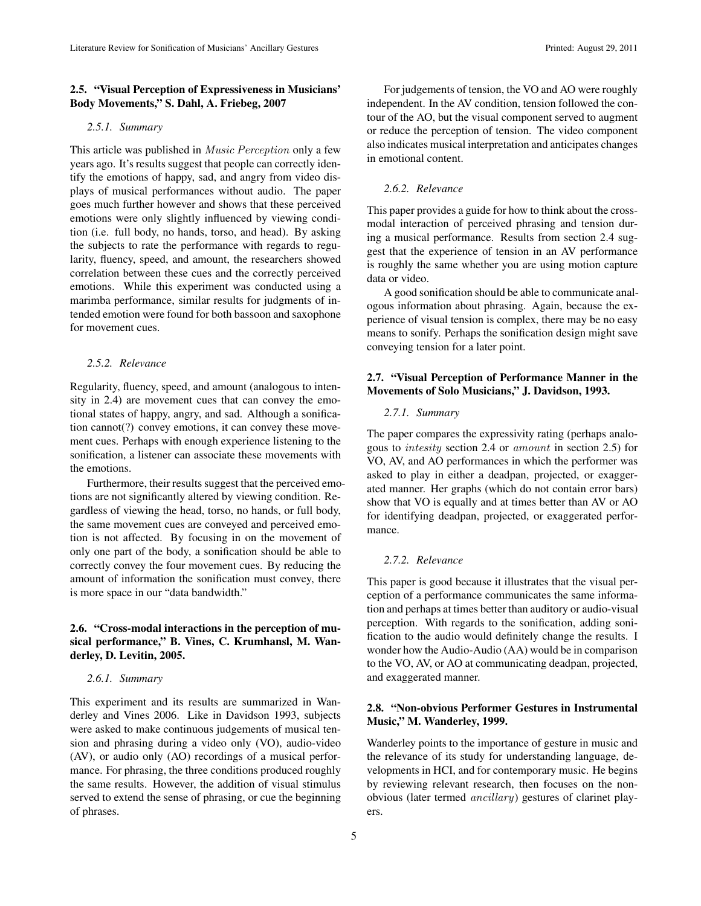# 2.5. "Visual Perception of Expressiveness in Musicians' Body Movements," S. Dahl, A. Friebeg, 2007

### *2.5.1. Summary*

This article was published in *Music Perception* only a few years ago. It's results suggest that people can correctly identify the emotions of happy, sad, and angry from video displays of musical performances without audio. The paper goes much further however and shows that these perceived emotions were only slightly influenced by viewing condition (i.e. full body, no hands, torso, and head). By asking the subjects to rate the performance with regards to regularity, fluency, speed, and amount, the researchers showed correlation between these cues and the correctly perceived emotions. While this experiment was conducted using a marimba performance, similar results for judgments of intended emotion were found for both bassoon and saxophone for movement cues.

#### *2.5.2. Relevance*

Regularity, fluency, speed, and amount (analogous to intensity in 2.4) are movement cues that can convey the emotional states of happy, angry, and sad. Although a sonification cannot(?) convey emotions, it can convey these movement cues. Perhaps with enough experience listening to the sonification, a listener can associate these movements with the emotions.

Furthermore, their results suggest that the perceived emotions are not significantly altered by viewing condition. Regardless of viewing the head, torso, no hands, or full body, the same movement cues are conveyed and perceived emotion is not affected. By focusing in on the movement of only one part of the body, a sonification should be able to correctly convey the four movement cues. By reducing the amount of information the sonification must convey, there is more space in our "data bandwidth."

# 2.6. "Cross-modal interactions in the perception of musical performance," B. Vines, C. Krumhansl, M. Wanderley, D. Levitin, 2005.

#### *2.6.1. Summary*

This experiment and its results are summarized in Wanderley and Vines 2006. Like in Davidson 1993, subjects were asked to make continuous judgements of musical tension and phrasing during a video only (VO), audio-video (AV), or audio only (AO) recordings of a musical performance. For phrasing, the three conditions produced roughly the same results. However, the addition of visual stimulus served to extend the sense of phrasing, or cue the beginning of phrases.

For judgements of tension, the VO and AO were roughly independent. In the AV condition, tension followed the contour of the AO, but the visual component served to augment or reduce the perception of tension. The video component also indicates musical interpretation and anticipates changes in emotional content.

### *2.6.2. Relevance*

This paper provides a guide for how to think about the crossmodal interaction of perceived phrasing and tension during a musical performance. Results from section 2.4 suggest that the experience of tension in an AV performance is roughly the same whether you are using motion capture data or video.

A good sonification should be able to communicate analogous information about phrasing. Again, because the experience of visual tension is complex, there may be no easy means to sonify. Perhaps the sonification design might save conveying tension for a later point.

## 2.7. "Visual Perception of Performance Manner in the Movements of Solo Musicians," J. Davidson, 1993.

#### *2.7.1. Summary*

The paper compares the expressivity rating (perhaps analogous to intesity section 2.4 or amount in section 2.5) for VO, AV, and AO performances in which the performer was asked to play in either a deadpan, projected, or exaggerated manner. Her graphs (which do not contain error bars) show that VO is equally and at times better than AV or AO for identifying deadpan, projected, or exaggerated performance.

### *2.7.2. Relevance*

This paper is good because it illustrates that the visual perception of a performance communicates the same information and perhaps at times better than auditory or audio-visual perception. With regards to the sonification, adding sonification to the audio would definitely change the results. I wonder how the Audio-Audio (AA) would be in comparison to the VO, AV, or AO at communicating deadpan, projected, and exaggerated manner.

### 2.8. "Non-obvious Performer Gestures in Instrumental Music," M. Wanderley, 1999.

Wanderley points to the importance of gesture in music and the relevance of its study for understanding language, developments in HCI, and for contemporary music. He begins by reviewing relevant research, then focuses on the nonobvious (later termed ancillary) gestures of clarinet players.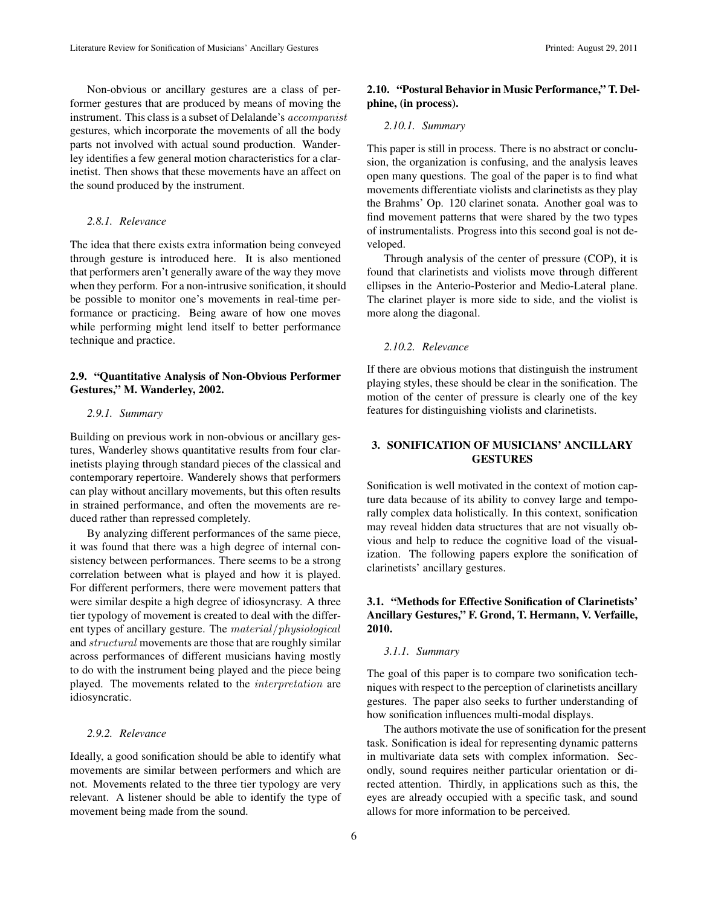Non-obvious or ancillary gestures are a class of performer gestures that are produced by means of moving the instrument. This class is a subset of Delalande's accompanist gestures, which incorporate the movements of all the body parts not involved with actual sound production. Wanderley identifies a few general motion characteristics for a clarinetist. Then shows that these movements have an affect on the sound produced by the instrument.

## *2.8.1. Relevance*

The idea that there exists extra information being conveyed through gesture is introduced here. It is also mentioned that performers aren't generally aware of the way they move when they perform. For a non-intrusive sonification, it should be possible to monitor one's movements in real-time performance or practicing. Being aware of how one moves while performing might lend itself to better performance technique and practice.

## 2.9. "Quantitative Analysis of Non-Obvious Performer Gestures," M. Wanderley, 2002.

### *2.9.1. Summary*

Building on previous work in non-obvious or ancillary gestures, Wanderley shows quantitative results from four clarinetists playing through standard pieces of the classical and contemporary repertoire. Wanderely shows that performers can play without ancillary movements, but this often results in strained performance, and often the movements are reduced rather than repressed completely.

By analyzing different performances of the same piece, it was found that there was a high degree of internal consistency between performances. There seems to be a strong correlation between what is played and how it is played. For different performers, there were movement patters that were similar despite a high degree of idiosyncrasy. A three tier typology of movement is created to deal with the different types of ancillary gesture. The material/physiological and structural movements are those that are roughly similar across performances of different musicians having mostly to do with the instrument being played and the piece being played. The movements related to the interpretation are idiosyncratic.

#### *2.9.2. Relevance*

Ideally, a good sonification should be able to identify what movements are similar between performers and which are not. Movements related to the three tier typology are very relevant. A listener should be able to identify the type of movement being made from the sound.

2.10. "Postural Behavior in Music Performance," T. Delphine, (in process).

#### *2.10.1. Summary*

This paper is still in process. There is no abstract or conclusion, the organization is confusing, and the analysis leaves open many questions. The goal of the paper is to find what movements differentiate violists and clarinetists as they play the Brahms' Op. 120 clarinet sonata. Another goal was to find movement patterns that were shared by the two types of instrumentalists. Progress into this second goal is not developed.

Through analysis of the center of pressure (COP), it is found that clarinetists and violists move through different ellipses in the Anterio-Posterior and Medio-Lateral plane. The clarinet player is more side to side, and the violist is more along the diagonal.

### *2.10.2. Relevance*

If there are obvious motions that distinguish the instrument playing styles, these should be clear in the sonification. The motion of the center of pressure is clearly one of the key features for distinguishing violists and clarinetists.

# 3. SONIFICATION OF MUSICIANS' ANCILLARY **GESTURES**

Sonification is well motivated in the context of motion capture data because of its ability to convey large and temporally complex data holistically. In this context, sonification may reveal hidden data structures that are not visually obvious and help to reduce the cognitive load of the visualization. The following papers explore the sonification of clarinetists' ancillary gestures.

# 3.1. "Methods for Effective Sonification of Clarinetists' Ancillary Gestures," F. Grond, T. Hermann, V. Verfaille, 2010.

#### *3.1.1. Summary*

The goal of this paper is to compare two sonification techniques with respect to the perception of clarinetists ancillary gestures. The paper also seeks to further understanding of how sonification influences multi-modal displays.

The authors motivate the use of sonification for the present task. Sonification is ideal for representing dynamic patterns in multivariate data sets with complex information. Secondly, sound requires neither particular orientation or directed attention. Thirdly, in applications such as this, the eyes are already occupied with a specific task, and sound allows for more information to be perceived.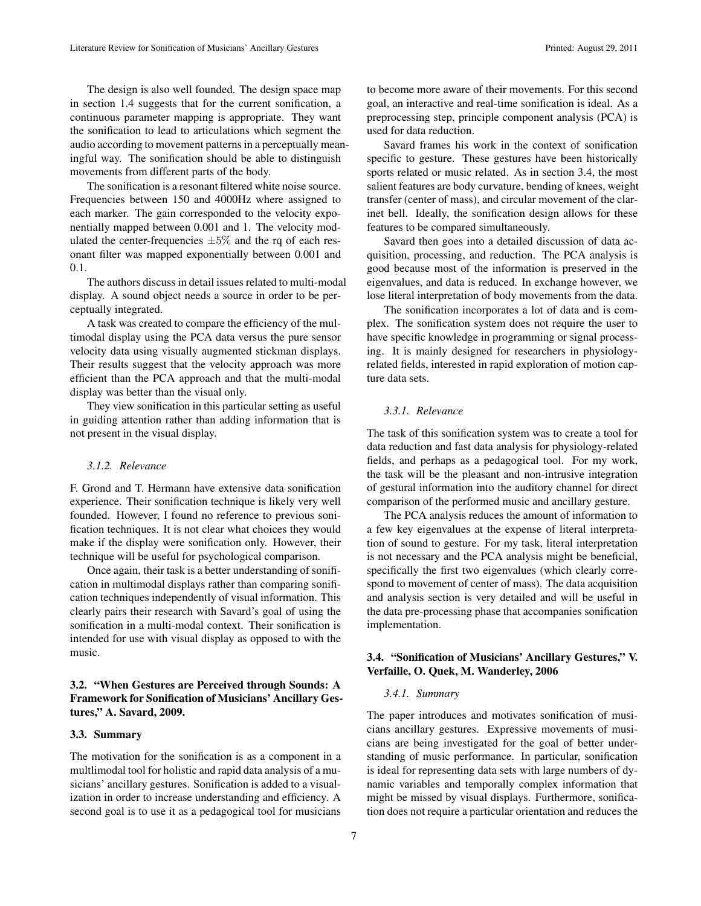The design is also well founded. The design space map in section 1.4 suggests that for the current sonification, a continuous parameter mapping is appropriate. They want the sonification to lead to articulations which segment the audio according to movement patterns in a perceptually meaningful way. The sonification should be able to distinguish movements from different parts of the body.

The sonification is a resonant filtered white noise source. Frequencies between 150 and 4000Hz where assigned to each marker. The gain corresponded to the velocity exponentially mapped between 0.001 and 1. The velocity modulated the center-frequencies  $\pm 5\%$  and the rq of each resonant filter was mapped exponentially between 0.001 and 0.1.

The authors discuss in detail issues related to multi-modal display. A sound object needs a source in order to be perceptually integrated.

A task was created to compare the efficiency of the multimodal display using the PCA data versus the pure sensor velocity data using visually augmented stickman displays. Their results suggest that the velocity approach was more efficient than the PCA approach and that the multi-modal display was better than the visual only.

They view sonification in this particular setting as useful in guiding attention rather than adding information that is not present in the visual display.

### *3.1.2. Relevance*

F. Grond and T. Hermann have extensive data sonification experience. Their sonification technique is likely very well founded. However, I found no reference to previous sonification techniques. It is not clear what choices they would make if the display were sonification only. However, their technique will be useful for psychological comparison.

Once again, their task is a better understanding of sonification in multimodal displays rather than comparing sonification techniques independently of visual information. This clearly pairs their research with Savard's goal of using the sonification in a multi-modal context. Their sonification is intended for use with visual display as opposed to with the music.

# 3.2. "When Gestures are Perceived through Sounds: A Framework for Sonification of Musicians' Ancillary Gestures," A. Savard, 2009.

### 3.3. Summary

The motivation for the sonification is as a component in a multlimodal tool for holistic and rapid data analysis of a musicians' ancillary gestures. Sonification is added to a visualization in order to increase understanding and efficiency. A second goal is to use it as a pedagogical tool for musicians

to become more aware of their movements. For this second goal, an interactive and real-time sonification is ideal. As a preprocessing step, principle component analysis (PCA) is used for data reduction.

Savard frames his work in the context of sonification specific to gesture. These gestures have been historically sports related or music related. As in section 3.4, the most salient features are body curvature, bending of knees, weight transfer (center of mass), and circular movement of the clarinet bell. Ideally, the sonification design allows for these features to be compared simultaneously.

Savard then goes into a detailed discussion of data acquisition, processing, and reduction. The PCA analysis is good because most of the information is preserved in the eigenvalues, and data is reduced. In exchange however, we lose literal interpretation of body movements from the data.

The sonification incorporates a lot of data and is complex. The sonification system does not require the user to have specific knowledge in programming or signal processing. It is mainly designed for researchers in physiologyrelated fields, interested in rapid exploration of motion capture data sets.

#### *3.3.1. Relevance*

The task of this sonification system was to create a tool for data reduction and fast data analysis for physiology-related fields, and perhaps as a pedagogical tool. For my work, the task will be the pleasant and non-intrusive integration of gestural information into the auditory channel for direct comparison of the performed music and ancillary gesture.

The PCA analysis reduces the amount of information to a few key eigenvalues at the expense of literal interpretation of sound to gesture. For my task, literal interpretation is not necessary and the PCA analysis might be beneficial, specifically the first two eigenvalues (which clearly correspond to movement of center of mass). The data acquisition and analysis section is very detailed and will be useful in the data pre-processing phase that accompanies sonification implementation.

## 3.4. "Sonification of Musicians' Ancillary Gestures," V. Verfaille, O. Quek, M. Wanderley, 2006

#### *3.4.1. Summary*

The paper introduces and motivates sonification of musicians ancillary gestures. Expressive movements of musicians are being investigated for the goal of better understanding of music performance. In particular, sonification is ideal for representing data sets with large numbers of dynamic variables and temporally complex information that might be missed by visual displays. Furthermore, sonification does not require a particular orientation and reduces the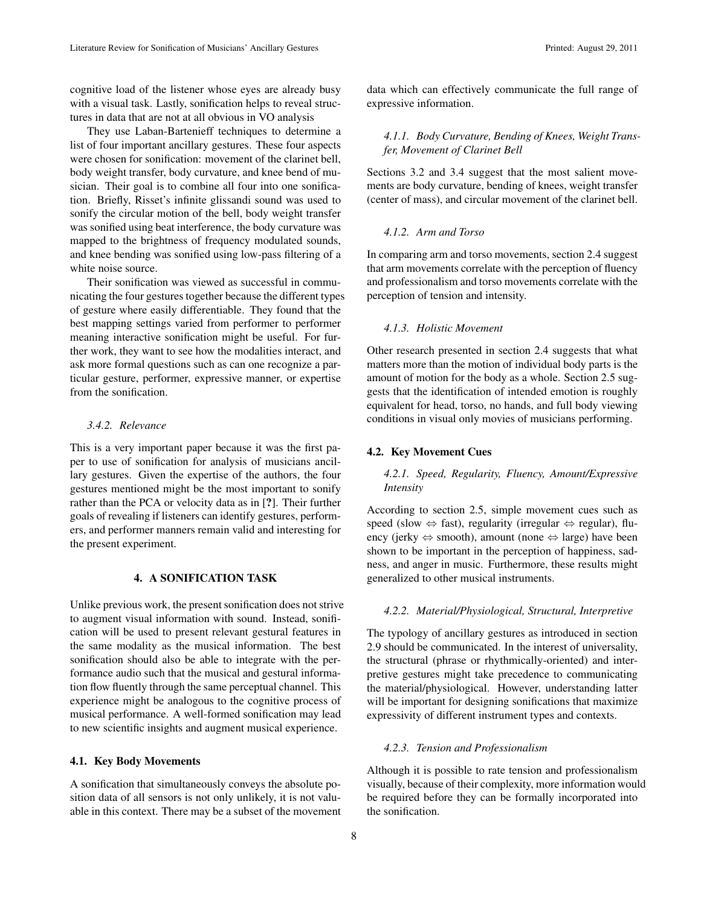cognitive load of the listener whose eyes are already busy with a visual task. Lastly, sonification helps to reveal structures in data that are not at all obvious in VO analysis

They use Laban-Bartenieff techniques to determine a list of four important ancillary gestures. These four aspects were chosen for sonification: movement of the clarinet bell, body weight transfer, body curvature, and knee bend of musician. Their goal is to combine all four into one sonification. Briefly, Risset's infinite glissandi sound was used to sonify the circular motion of the bell, body weight transfer was sonified using beat interference, the body curvature was mapped to the brightness of frequency modulated sounds, and knee bending was sonified using low-pass filtering of a white noise source.

Their sonification was viewed as successful in communicating the four gestures together because the different types of gesture where easily differentiable. They found that the best mapping settings varied from performer to performer meaning interactive sonification might be useful. For further work, they want to see how the modalities interact, and ask more formal questions such as can one recognize a particular gesture, performer, expressive manner, or expertise from the sonification.

#### *3.4.2. Relevance*

This is a very important paper because it was the first paper to use of sonification for analysis of musicians ancillary gestures. Given the expertise of the authors, the four gestures mentioned might be the most important to sonify rather than the PCA or velocity data as in [?]. Their further goals of revealing if listeners can identify gestures, performers, and performer manners remain valid and interesting for the present experiment.

# 4. A SONIFICATION TASK

Unlike previous work, the present sonification does not strive to augment visual information with sound. Instead, sonification will be used to present relevant gestural features in the same modality as the musical information. The best sonification should also be able to integrate with the performance audio such that the musical and gestural information flow fluently through the same perceptual channel. This experience might be analogous to the cognitive process of musical performance. A well-formed sonification may lead to new scientific insights and augment musical experience.

### 4.1. Key Body Movements

A sonification that simultaneously conveys the absolute position data of all sensors is not only unlikely, it is not valuable in this context. There may be a subset of the movement data which can effectively communicate the full range of expressive information.

### *4.1.1. Body Curvature, Bending of Knees, Weight Transfer, Movement of Clarinet Bell*

Sections 3.2 and 3.4 suggest that the most salient movements are body curvature, bending of knees, weight transfer (center of mass), and circular movement of the clarinet bell.

### *4.1.2. Arm and Torso*

In comparing arm and torso movements, section 2.4 suggest that arm movements correlate with the perception of fluency and professionalism and torso movements correlate with the perception of tension and intensity.

#### *4.1.3. Holistic Movement*

Other research presented in section 2.4 suggests that what matters more than the motion of individual body parts is the amount of motion for the body as a whole. Section 2.5 suggests that the identification of intended emotion is roughly equivalent for head, torso, no hands, and full body viewing conditions in visual only movies of musicians performing.

### 4.2. Key Movement Cues

# *4.2.1. Speed, Regularity, Fluency, Amount/Expressive Intensity*

According to section 2.5, simple movement cues such as speed (slow  $\Leftrightarrow$  fast), regularity (irregular  $\Leftrightarrow$  regular), fluency (jerky  $\Leftrightarrow$  smooth), amount (none  $\Leftrightarrow$  large) have been shown to be important in the perception of happiness, sadness, and anger in music. Furthermore, these results might generalized to other musical instruments.

#### *4.2.2. Material/Physiological, Structural, Interpretive*

The typology of ancillary gestures as introduced in section 2.9 should be communicated. In the interest of universality, the structural (phrase or rhythmically-oriented) and interpretive gestures might take precedence to communicating the material/physiological. However, understanding latter will be important for designing sonifications that maximize expressivity of different instrument types and contexts.

#### *4.2.3. Tension and Professionalism*

Although it is possible to rate tension and professionalism visually, because of their complexity, more information would be required before they can be formally incorporated into the sonification.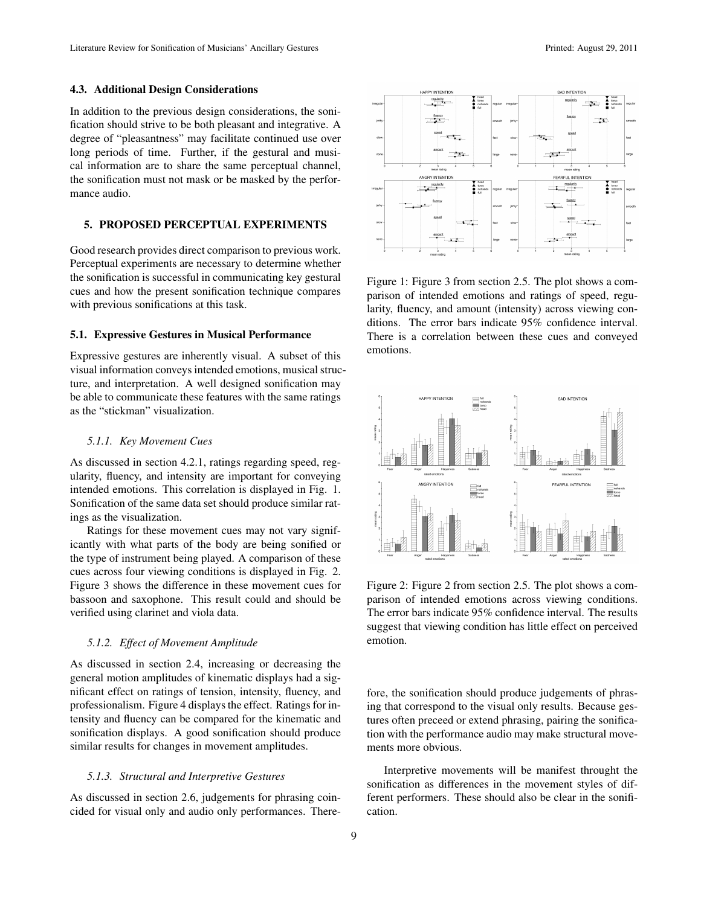#### 4.3. Additional Design Considerations

In addition to the previous design considerations, the sonification should strive to be both pleasant and integrative. A degree of "pleasantness" may facilitate continued use over long periods of time. Further, if the gestural and musical information are to share the same perceptual channel, the sonification must not mask or be masked by the performance audio.

### 5. PROPOSED PERCEPTUAL EXPERIMENTS

Good research provides direct comparison to previous work. Perceptual experiments are necessary to determine whether the sonification is successful in communicating key gestural cues and how the present sonification technique compares with previous sonifications at this task.

### 5.1. Expressive Gestures in Musical Performance

Expressive gestures are inherently visual. A subset of this visual information conveys intended emotions, musical structure, and interpretation. A well designed sonification may be able to communicate these features with the same ratings as the "stickman" visualization.

### *5.1.1. Key Movement Cues*

As discussed in section 4.2.1, ratings regarding speed, regularity, fluency, and intensity are important for conveying intended emotions. This correlation is displayed in Fig. 1. Sonification of the same data set should produce similar ratings as the visualization.

Ratings for these movement cues may not vary significantly with what parts of the body are being sonified or the type of instrument being played. A comparison of these cues across four viewing conditions is displayed in Fig. 2. Figure 3 shows the difference in these movement cues for bassoon and saxophone. This result could and should be verified using clarinet and viola data.

### *5.1.2. Effect of Movement Amplitude*

As discussed in section 2.4, increasing or decreasing the general motion amplitudes of kinematic displays had a significant effect on ratings of tension, intensity, fluency, and professionalism. Figure 4 displays the effect. Ratings for intensity and fluency can be compared for the kinematic and sonification displays. A good sonification should produce similar results for changes in movement amplitudes.

#### *5.1.3. Structural and Interpretive Gestures*

As discussed in section 2.6, judgements for phrasing coincided for visual only and audio only performances. There-

9



Figure 1: Figure 3 from section 2.5. The plot shows a comparison of intended emotions and ratings of speed, regularity, fluency, and amount (intensity) across viewing conditions. The error bars indicate 95% confidence interval. There is a correlation between these cues and conveyed emotions.



Figure 2: Figure 2 from section 2.5. The plot shows a comparison of intended emotions across viewing conditions. The error bars indicate 95% confidence interval. The results suggest that viewing condition has little effect on perceived emotion.

fore, the sonification should produce judgements of phrasing that correspond to the visual only results. Because gestures often preceed or extend phrasing, pairing the sonification with the performance audio may make structural movements more obvious.

Interpretive movements will be manifest throught the sonification as differences in the movement styles of different performers. These should also be clear in the sonification.